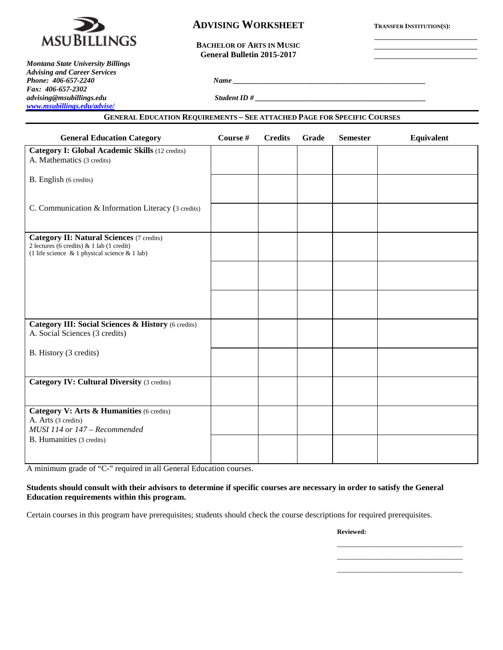

# **ADVISING WORKSHEET TRANSFER INSTITUTION(S):**

**BACHELOR OF ARTS IN MUSIC General Bulletin 2015-2017**

*Montana State University Billings Advising and Career Services Fax: 406-657-2302 advising@msubillings.edu Student ID # \_\_\_\_\_\_\_\_\_\_\_\_\_\_\_\_\_\_\_\_\_\_\_\_\_\_\_\_\_\_\_\_\_\_\_\_\_\_\_\_\_\_\_\_\_\_ [www.msubillings.edu/advise/](http://www.msubillings.edu/advise/)*

#### **GENERAL EDUCATION REQUIREMENTS – SEE ATTACHED PAGE FOR SPECIFIC COURSES**

*Phone: 406-657-2240 Name \_\_\_\_\_\_\_\_\_\_\_\_\_\_\_\_\_\_\_\_\_\_\_\_\_\_\_\_\_\_\_\_\_\_\_\_\_\_\_\_\_\_\_\_\_\_\_\_\_\_\_\_*

| <b>General Education Category</b>                                                                                                              | Course # | <b>Credits</b> | Grade | <b>Semester</b> | Equivalent |
|------------------------------------------------------------------------------------------------------------------------------------------------|----------|----------------|-------|-----------------|------------|
| <b>Category I: Global Academic Skills (12 credits)</b><br>A. Mathematics (3 credits)                                                           |          |                |       |                 |            |
| B. English (6 credits)                                                                                                                         |          |                |       |                 |            |
| C. Communication & Information Literacy (3 credits)                                                                                            |          |                |       |                 |            |
| <b>Category II: Natural Sciences (7 credits)</b><br>2 lectures (6 credits) & 1 lab (1 credit)<br>(1 life science & 1 physical science & 1 lab) |          |                |       |                 |            |
|                                                                                                                                                |          |                |       |                 |            |
|                                                                                                                                                |          |                |       |                 |            |
| Category III: Social Sciences & History (6 credits)<br>A. Social Sciences (3 credits)                                                          |          |                |       |                 |            |
| B. History (3 credits)                                                                                                                         |          |                |       |                 |            |
| <b>Category IV: Cultural Diversity (3 credits)</b>                                                                                             |          |                |       |                 |            |
| Category V: Arts & Humanities (6 credits)<br>A. Arts (3 credits)<br>MUSI 114 or 147 - Recommended                                              |          |                |       |                 |            |
| B. Humanities (3 credits)                                                                                                                      |          |                |       |                 |            |

A minimum grade of "C-" required in all General Education courses.

#### **Students should consult with their advisors to determine if specific courses are necessary in order to satisfy the General Education requirements within this program.**

Certain courses in this program have prerequisites; students should check the course descriptions for required prerequisites.

**Reviewed:**

\_\_\_\_\_\_\_\_\_\_\_\_\_\_\_\_\_\_\_\_\_\_\_\_\_\_\_\_\_\_\_\_\_\_ \_\_\_\_\_\_\_\_\_\_\_\_\_\_\_\_\_\_\_\_\_\_\_\_\_\_\_\_\_\_\_\_\_\_ \_\_\_\_\_\_\_\_\_\_\_\_\_\_\_\_\_\_\_\_\_\_\_\_\_\_\_\_\_\_\_\_\_\_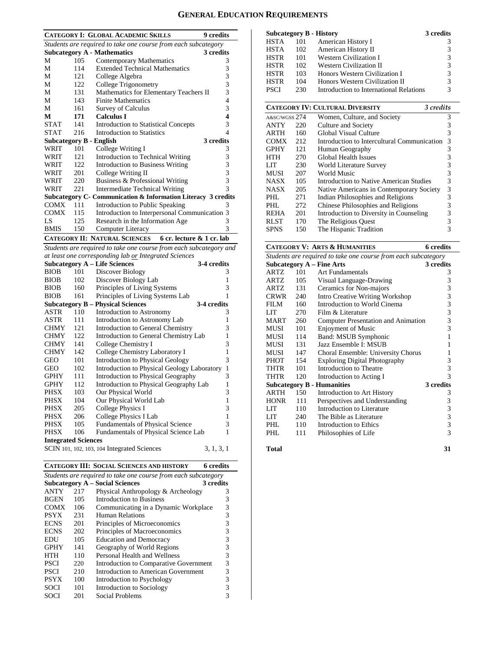### **GENERAL EDUCATION REQUIREMENTS**

| <b>CATEGORY I: GLOBAL ACADEMIC SKILLS</b><br>9 credits  |                                                                |                                                                |           |  |  |  |  |
|---------------------------------------------------------|----------------------------------------------------------------|----------------------------------------------------------------|-----------|--|--|--|--|
|                                                         | Students are required to take one course from each subcategory |                                                                |           |  |  |  |  |
| <b>Subcategory A - Mathematics</b><br>3 credits         |                                                                |                                                                |           |  |  |  |  |
| М                                                       | 105                                                            | <b>Contemporary Mathematics</b>                                | 3         |  |  |  |  |
| М                                                       | 114                                                            | <b>Extended Technical Mathematics</b>                          | 3         |  |  |  |  |
| М                                                       | 121                                                            | College Algebra                                                | 3         |  |  |  |  |
| М                                                       | 122                                                            | College Trigonometry                                           | 3         |  |  |  |  |
| M                                                       | 131                                                            | Mathematics for Elementary Teachers II                         | 3         |  |  |  |  |
| М                                                       | 143                                                            | <b>Finite Mathematics</b>                                      | 4         |  |  |  |  |
| М                                                       | 161                                                            | Survey of Calculus                                             | 3         |  |  |  |  |
| М                                                       | 171                                                            | <b>Calculus I</b>                                              | 4         |  |  |  |  |
| <b>STAT</b>                                             | 141                                                            | Introduction to Statistical Concepts                           | 3         |  |  |  |  |
| <b>STAT</b>                                             | 216                                                            | Introduction to Statistics                                     | 4         |  |  |  |  |
|                                                         |                                                                | <b>Subcategory B - English</b>                                 | 3 credits |  |  |  |  |
| WRIT                                                    | 101                                                            | College Writing I                                              | 3         |  |  |  |  |
| WRIT                                                    | 121                                                            | Introduction to Technical Writing                              | 3         |  |  |  |  |
| WRIT                                                    | 122                                                            | <b>Introduction to Business Writing</b>                        | 3         |  |  |  |  |
| WRIT                                                    | 201                                                            | College Writing II                                             | 3         |  |  |  |  |
| WRIT                                                    | 220                                                            | Business & Professional Writing                                | 3         |  |  |  |  |
| WRIT                                                    | 221                                                            | Intermediate Technical Writing                                 | 3         |  |  |  |  |
|                                                         |                                                                | Subcategory C - Communication & Information Literacy 3 credits |           |  |  |  |  |
| <b>COMX</b>                                             | 111                                                            | Introduction to Public Speaking                                | 3         |  |  |  |  |
| <b>COMX</b>                                             | 115                                                            | Introduction to Interpersonal Communication 3                  |           |  |  |  |  |
| LS                                                      | 125                                                            | Research in the Information Age                                | 3         |  |  |  |  |
| <b>BMIS</b>                                             | 150                                                            | Computer Literacy                                              | 3         |  |  |  |  |
| CATEGORY II: NATURAL SCIENCES 6 cr. lecture & 1 cr. lab |                                                                |                                                                |           |  |  |  |  |

*Students are required to take one course from each subcategory and at least one corresponding lab or Integrated Sciences*

| al least one corresponding lab or integrated sciences |     |                                             |              |  |  |
|-------------------------------------------------------|-----|---------------------------------------------|--------------|--|--|
|                                                       |     | <b>Subcategory A - Life Sciences</b>        | 3-4 credits  |  |  |
| <b>BIOB</b>                                           | 101 | Discover Biology                            | 3            |  |  |
| <b>BIOB</b>                                           | 102 | Discover Biology Lab                        | 1            |  |  |
| <b>BIOB</b>                                           | 160 | Principles of Living Systems                | 3            |  |  |
| <b>BIOB</b>                                           | 161 | Principles of Living Systems Lab            | 1            |  |  |
|                                                       |     | <b>Subcategory B – Physical Sciences</b>    | 3-4 credits  |  |  |
| ASTR                                                  | 110 | Introduction to Astronomy                   | 3            |  |  |
| ASTR                                                  | 111 | Introduction to Astronomy Lab               | $\mathbf{1}$ |  |  |
| <b>CHMY</b>                                           | 121 | Introduction to General Chemistry           | 3            |  |  |
| <b>CHMY</b>                                           | 122 | Introduction to General Chemistry Lab       | $\mathbf{1}$ |  |  |
| <b>CHMY</b>                                           | 141 | College Chemistry I                         | 3            |  |  |
| <b>CHMY</b>                                           | 142 | College Chemistry Laboratory I              | $\mathbf{1}$ |  |  |
| GEO                                                   | 101 | Introduction to Physical Geology            | 3            |  |  |
| GEO                                                   | 102 | Introduction to Physical Geology Laboratory | $\mathbf{1}$ |  |  |
| <b>GPHY</b>                                           | 111 | Introduction to Physical Geography          | 3            |  |  |
| <b>GPHY</b>                                           | 112 | Introduction to Physical Geography Lab      | $\mathbf{1}$ |  |  |
| PHSX                                                  | 103 | Our Physical World                          | 3            |  |  |
| <b>PHSX</b>                                           | 104 | Our Physical World Lab                      | $\mathbf{1}$ |  |  |
| PHSX                                                  | 205 | <b>College Physics I</b>                    | 3            |  |  |
| PHSX                                                  | 206 | College Physics I Lab                       | $\mathbf{1}$ |  |  |
| PHSX                                                  | 105 | <b>Fundamentals of Physical Science</b>     | 3            |  |  |
| <b>PHSX</b>                                           | 106 | Fundamentals of Physical Science Lab        | 1            |  |  |
| <b>Integrated Sciences</b>                            |     |                                             |              |  |  |
|                                                       |     | SCIN 101, 102, 103, 104 Integrated Sciences | 3, 1, 3, 1   |  |  |

**CATEGORY III: SOCIAL SCIENCES AND HISTORY 6 credits**

| Students are required to take one course from each subcategory |     |                                        |   |  |  |  |  |
|----------------------------------------------------------------|-----|----------------------------------------|---|--|--|--|--|
| <b>Subcategory A – Social Sciences</b><br>3 credits            |     |                                        |   |  |  |  |  |
| <b>ANTY</b>                                                    | 217 | Physical Anthropology & Archeology     | 3 |  |  |  |  |
| <b>BGEN</b>                                                    | 105 | Introduction to Business               | 3 |  |  |  |  |
| <b>COMX</b>                                                    | 106 | Communicating in a Dynamic Workplace   | 3 |  |  |  |  |
| <b>PSYX</b>                                                    | 231 | <b>Human Relations</b>                 | 3 |  |  |  |  |
| <b>ECNS</b>                                                    | 201 | Principles of Microeconomics           | 3 |  |  |  |  |
| <b>ECNS</b>                                                    | 202 | Principles of Macroeconomics           | 3 |  |  |  |  |
| EDU                                                            | 105 | <b>Education and Democracy</b>         | 3 |  |  |  |  |
| <b>GPHY</b>                                                    | 141 | Geography of World Regions             | 3 |  |  |  |  |
| HTH                                                            | 110 | Personal Health and Wellness           | 3 |  |  |  |  |
| <b>PSCI</b>                                                    | 220 | Introduction to Comparative Government | 3 |  |  |  |  |
| <b>PSCI</b>                                                    | 210 | Introduction to American Government    | 3 |  |  |  |  |
| <b>PSYX</b>                                                    | 100 | Introduction to Psychology             | 3 |  |  |  |  |
| <b>SOCI</b>                                                    | 101 | Introduction to Sociology              |   |  |  |  |  |
| SOCI                                                           | 201 | Social Problems                        |   |  |  |  |  |

| <b>Subcategory B - History</b> |     |                                         | 3 credits            |
|--------------------------------|-----|-----------------------------------------|----------------------|
| <b>HSTA</b>                    | 101 | American History I                      |                      |
| <b>HSTA</b>                    | 102 | American History II                     |                      |
| <b>HSTR</b>                    | 101 | Western Civilization I                  | 3                    |
| <b>HSTR</b>                    | 102 | Western Civilization II                 | 3                    |
| <b>HSTR</b>                    | 103 | Honors Western Civilization I           | 3                    |
| <b>HSTR</b>                    | 104 | Honors Western Civilization II          | 3                    |
| <b>PSCI</b>                    | 230 | Introduction to International Relations | 3                    |
|                                |     |                                         | $\sim$ $\sim$ $\sim$ |

|               |     | <b>CATEGORY IV: CULTURAL DIVERSITY</b><br>3 credits |   |
|---------------|-----|-----------------------------------------------------|---|
| A&SC/WGSS 274 |     | Women, Culture, and Society                         | 3 |
| <b>ANTY</b>   | 220 | Culture and Society                                 | 3 |
| <b>ARTH</b>   | 160 | Global Visual Culture                               | 3 |
| <b>COMX</b>   | 212 | Introduction to Intercultural Communication         | 3 |
| <b>GPHY</b>   | 121 | Human Geography                                     | 3 |
| <b>HTH</b>    | 270 | Global Health Issues                                | 3 |
| LIT           | 230 | World Literature Survey                             | 3 |
| <b>MUSI</b>   | 207 | World Music                                         | 3 |
| <b>NASX</b>   | 105 | Introduction to Native American Studies             | 3 |
| <b>NASX</b>   | 205 | Native Americans in Contemporary Society            | 3 |
| PHL           | 271 | Indian Philosophies and Religions                   | 3 |
| PHL           | 272 | Chinese Philosophies and Religions                  | 3 |
| <b>REHA</b>   | 201 | Introduction to Diversity in Counseling             | 3 |
| <b>RLST</b>   | 170 | The Religious Quest                                 | 3 |
| <b>SPNS</b>   | 150 | The Hispanic Tradition                              | 3 |

# **CATEGORY V: ARTS & HUMANITIES 6 credits**

| Students are required to take one course from each subcategory |     |                                        |           |  |  |
|----------------------------------------------------------------|-----|----------------------------------------|-----------|--|--|
|                                                                |     | <b>Subcategory A - Fine Arts</b>       | 3 credits |  |  |
| ARTZ                                                           | 101 | <b>Art Fundamentals</b>                | 3         |  |  |
| ARTZ                                                           | 105 | Visual Language-Drawing                | 3         |  |  |
| ARTZ                                                           | 131 | Ceramics for Non-majors                | 3         |  |  |
| CRWR                                                           | 240 | <b>Intro Creative Writing Workshop</b> | 3         |  |  |
| <b>FILM</b>                                                    | 160 | Introduction to World Cinema           | 3         |  |  |
| LIT                                                            | 270 | Film & Literature                      | 3         |  |  |
| MART.                                                          | 260 | Computer Presentation and Animation    | 3         |  |  |
| MUSI                                                           | 101 | <b>Enjoyment of Music</b>              | 3         |  |  |
| MUSI                                                           | 114 | Band: MSUB Symphonic                   | 1         |  |  |
| MUSI                                                           | 131 | Jazz Ensemble I: MSUB                  | 1         |  |  |
| MUSI                                                           | 147 | Choral Ensemble: University Chorus     | 1         |  |  |
| РНОТ                                                           | 154 | <b>Exploring Digital Photography</b>   | 3         |  |  |
| THTR                                                           | 101 | Introduction to Theatre                | 3         |  |  |
| THTR                                                           | 120 | Introduction to Acting I               | 3         |  |  |
|                                                                |     | <b>Subcategory B - Humanities</b>      | 3 credits |  |  |
| ARTH                                                           | 150 | Introduction to Art History            | 3         |  |  |
| <b>HONR</b>                                                    | 111 | Perspectives and Understanding         | 3         |  |  |
| LIT                                                            | 110 | Introduction to Literature             | 3         |  |  |
| <b>LIT</b>                                                     | 240 | The Bible as Literature                | 3         |  |  |
| PHL                                                            | 110 | Introduction to Ethics                 | 3         |  |  |
| PHL                                                            | 111 | Philosophies of Life                   | 3         |  |  |
|                                                                |     |                                        |           |  |  |

```
Total 31
```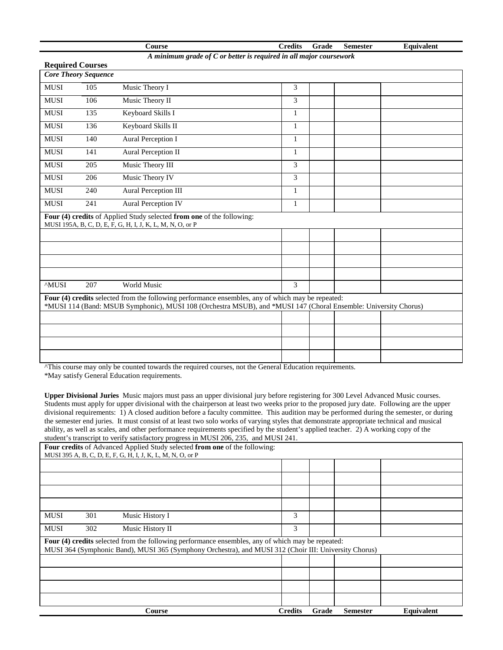|                                                                      |                                                        | Course                                                                                                                             |  | <b>Credits</b> | Grade | <b>Semester</b> | Equivalent |
|----------------------------------------------------------------------|--------------------------------------------------------|------------------------------------------------------------------------------------------------------------------------------------|--|----------------|-------|-----------------|------------|
| A minimum grade of $C$ or better is required in all major coursework |                                                        |                                                                                                                                    |  |                |       |                 |            |
|                                                                      | <b>Required Courses</b><br><b>Core Theory Sequence</b> |                                                                                                                                    |  |                |       |                 |            |
|                                                                      |                                                        |                                                                                                                                    |  |                |       |                 |            |
| <b>MUSI</b>                                                          | 105                                                    | Music Theory I                                                                                                                     |  | 3              |       |                 |            |
| <b>MUSI</b>                                                          | 106                                                    | Music Theory II                                                                                                                    |  | 3              |       |                 |            |
| <b>MUSI</b>                                                          | 135                                                    | Keyboard Skills I                                                                                                                  |  | 1              |       |                 |            |
| <b>MUSI</b>                                                          | 136                                                    | Keyboard Skills II                                                                                                                 |  | 1              |       |                 |            |
| <b>MUSI</b>                                                          | 140                                                    | Aural Perception I                                                                                                                 |  | 1              |       |                 |            |
| <b>MUSI</b>                                                          | 141                                                    | <b>Aural Perception II</b>                                                                                                         |  | $\mathbf{1}$   |       |                 |            |
| <b>MUSI</b>                                                          | 205                                                    | Music Theory III                                                                                                                   |  | 3              |       |                 |            |
| <b>MUSI</b>                                                          | 206                                                    | Music Theory IV                                                                                                                    |  | 3              |       |                 |            |
| <b>MUSI</b>                                                          | 240                                                    | <b>Aural Perception III</b>                                                                                                        |  | 1              |       |                 |            |
| <b>MUSI</b>                                                          | 241                                                    | <b>Aural Perception IV</b>                                                                                                         |  | $\mathbf{1}$   |       |                 |            |
|                                                                      |                                                        | Four (4) credits of Applied Study selected from one of the following:<br>MUSI 195A, B, C, D, E, F, G, H, I, J, K, L, M, N, O, or P |  |                |       |                 |            |
|                                                                      |                                                        |                                                                                                                                    |  |                |       |                 |            |
|                                                                      |                                                        |                                                                                                                                    |  |                |       |                 |            |
|                                                                      |                                                        |                                                                                                                                    |  |                |       |                 |            |
|                                                                      |                                                        |                                                                                                                                    |  |                |       |                 |            |
| <b>MUSI</b>                                                          | 207                                                    | World Music                                                                                                                        |  | 3              |       |                 |            |
|                                                                      |                                                        | Four (4) credits selected from the following performance ensembles, any of which may be repeated:                                  |  |                |       |                 |            |
|                                                                      |                                                        | *MUSI 114 (Band: MSUB Symphonic), MUSI 108 (Orchestra MSUB), and *MUSI 147 (Choral Ensemble: University Chorus)                    |  |                |       |                 |            |
|                                                                      |                                                        |                                                                                                                                    |  |                |       |                 |            |
|                                                                      |                                                        |                                                                                                                                    |  |                |       |                 |            |
|                                                                      |                                                        |                                                                                                                                    |  |                |       |                 |            |
|                                                                      |                                                        |                                                                                                                                    |  |                |       |                 |            |

^This course may only be counted towards the required courses, not the General Education requirements.

\*May satisfy General Education requirements.

**Upper Divisional Juries** Music majors must pass an upper divisional jury before registering for 300 Level Advanced Music courses. Students must apply for upper divisional with the chairperson at least two weeks prior to the proposed jury date. Following are the upper divisional requirements: 1) A closed audition before a faculty committee. This audition may be performed during the semester, or during the semester end juries. It must consist of at least two solo works of varying styles that demonstrate appropriate technical and musical ability, as well as scales, and other performance requirements specified by the student's applied teacher. 2) A working copy of the student's transcript to verify satisfactory progress in MUSI 206, 235, and MUSI 241.

|             |     | Four credits of Advanced Applied Study selected from one of the following:                                                                                                                                 |                |       |                 |            |
|-------------|-----|------------------------------------------------------------------------------------------------------------------------------------------------------------------------------------------------------------|----------------|-------|-----------------|------------|
|             |     | MUSI 395 A, B, C, D, E, F, G, H, I, J, K, L, M, N, O, or P                                                                                                                                                 |                |       |                 |            |
|             |     |                                                                                                                                                                                                            |                |       |                 |            |
|             |     |                                                                                                                                                                                                            |                |       |                 |            |
|             |     |                                                                                                                                                                                                            |                |       |                 |            |
|             |     |                                                                                                                                                                                                            |                |       |                 |            |
| <b>MUSI</b> | 301 | Music History I                                                                                                                                                                                            | 3              |       |                 |            |
| <b>MUSI</b> | 302 | Music History II                                                                                                                                                                                           | 3              |       |                 |            |
|             |     | Four (4) credits selected from the following performance ensembles, any of which may be repeated:<br>MUSI 364 (Symphonic Band), MUSI 365 (Symphony Orchestra), and MUSI 312 (Choir III: University Chorus) |                |       |                 |            |
|             |     |                                                                                                                                                                                                            |                |       |                 |            |
|             |     |                                                                                                                                                                                                            |                |       |                 |            |
|             |     |                                                                                                                                                                                                            |                |       |                 |            |
|             |     |                                                                                                                                                                                                            |                |       |                 |            |
|             |     | <b>Course</b>                                                                                                                                                                                              | <b>Credits</b> | Grade | <b>Semester</b> | Equivalent |